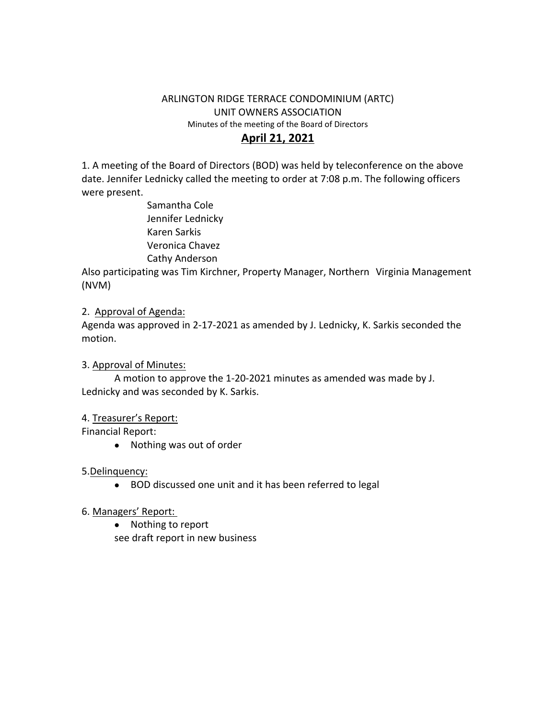# ARLINGTON RIDGE TERRACE CONDOMINIUM (ARTC) UNIT OWNERS ASSOCIATION Minutes of the meeting of the Board of Directors

# **April 21, 2021**

1. A meeting of the Board of Directors (BOD) was held by teleconference on the above date. Jennifer Lednicky called the meeting to order at 7:08 p.m. The following officers were present.

> Samantha Cole Jennifer Lednicky Karen Sarkis Veronica Chavez Cathy Anderson

Also participating was Tim Kirchner, Property Manager, Northern Virginia Management (NVM)

### 2. Approval of Agenda:

Agenda was approved in 2-17-2021 as amended by J. Lednicky, K. Sarkis seconded the motion.

#### 3. Approval of Minutes:

A motion to approve the 1-20-2021 minutes as amended was made by J. Lednicky and was seconded by K. Sarkis.

## 4. Treasurer's Report:

Financial Report:

Nothing was out of order

#### 5.Delinquency:

BOD discussed one unit and it has been referred to legal

## 6. Managers' Report:

• Nothing to report

see draft report in new business